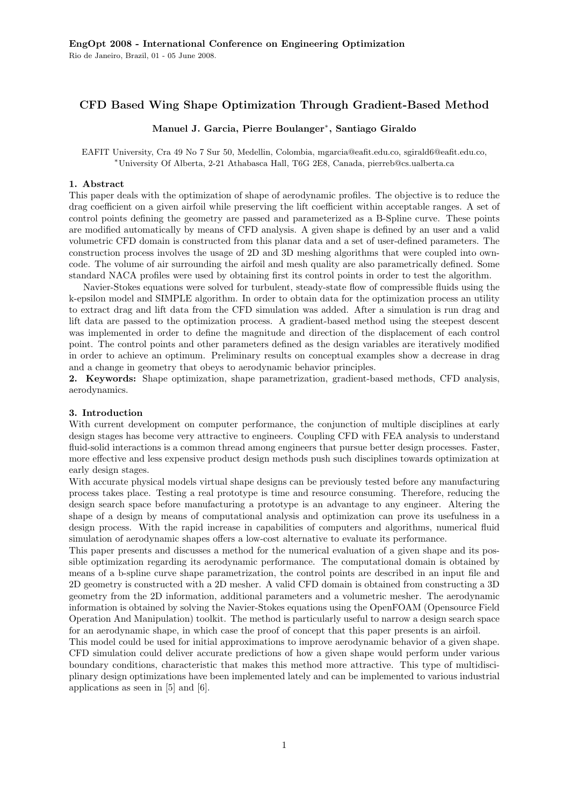# CFD Based Wing Shape Optimization Through Gradient-Based Method

# Manuel J. Garcia, Pierre Boulanger<sup>∗</sup> , Santiago Giraldo

EAFIT University, Cra 49 No 7 Sur 50, Medellin, Colombia, mgarcia@eafit.edu.co, sgirald6@eafit.edu.co, <sup>∗</sup>University Of Alberta, 2-21 Athabasca Hall, T6G 2E8, Canada, pierreb@cs.ualberta.ca

## 1. Abstract

This paper deals with the optimization of shape of aerodynamic profiles. The objective is to reduce the drag coefficient on a given airfoil while preserving the lift coefficient within acceptable ranges. A set of control points defining the geometry are passed and parameterized as a B-Spline curve. These points are modified automatically by means of CFD analysis. A given shape is defined by an user and a valid volumetric CFD domain is constructed from this planar data and a set of user-defined parameters. The construction process involves the usage of 2D and 3D meshing algorithms that were coupled into owncode. The volume of air surrounding the airfoil and mesh quality are also parametrically defined. Some standard NACA profiles were used by obtaining first its control points in order to test the algorithm.

Navier-Stokes equations were solved for turbulent, steady-state flow of compressible fluids using the k-epsilon model and SIMPLE algorithm. In order to obtain data for the optimization process an utility to extract drag and lift data from the CFD simulation was added. After a simulation is run drag and lift data are passed to the optimization process. A gradient-based method using the steepest descent was implemented in order to define the magnitude and direction of the displacement of each control point. The control points and other parameters defined as the design variables are iteratively modified in order to achieve an optimum. Preliminary results on conceptual examples show a decrease in drag and a change in geometry that obeys to aerodynamic behavior principles.

2. Keywords: Shape optimization, shape parametrization, gradient-based methods, CFD analysis, aerodynamics.

# 3. Introduction

With current development on computer performance, the conjunction of multiple disciplines at early design stages has become very attractive to engineers. Coupling CFD with FEA analysis to understand fluid-solid interactions is a common thread among engineers that pursue better design processes. Faster, more effective and less expensive product design methods push such disciplines towards optimization at early design stages.

With accurate physical models virtual shape designs can be previously tested before any manufacturing process takes place. Testing a real prototype is time and resource consuming. Therefore, reducing the design search space before manufacturing a prototype is an advantage to any engineer. Altering the shape of a design by means of computational analysis and optimization can prove its usefulness in a design process. With the rapid increase in capabilities of computers and algorithms, numerical fluid simulation of aerodynamic shapes offers a low-cost alternative to evaluate its performance.

This paper presents and discusses a method for the numerical evaluation of a given shape and its possible optimization regarding its aerodynamic performance. The computational domain is obtained by means of a b-spline curve shape parametrization, the control points are described in an input file and 2D geometry is constructed with a 2D mesher. A valid CFD domain is obtained from constructing a 3D geometry from the 2D information, additional parameters and a volumetric mesher. The aerodynamic information is obtained by solving the Navier-Stokes equations using the OpenFOAM (Opensource Field Operation And Manipulation) toolkit. The method is particularly useful to narrow a design search space for an aerodynamic shape, in which case the proof of concept that this paper presents is an airfoil.

This model could be used for initial approximations to improve aerodynamic behavior of a given shape. CFD simulation could deliver accurate predictions of how a given shape would perform under various boundary conditions, characteristic that makes this method more attractive. This type of multidisciplinary design optimizations have been implemented lately and can be implemented to various industrial applications as seen in [5] and [6].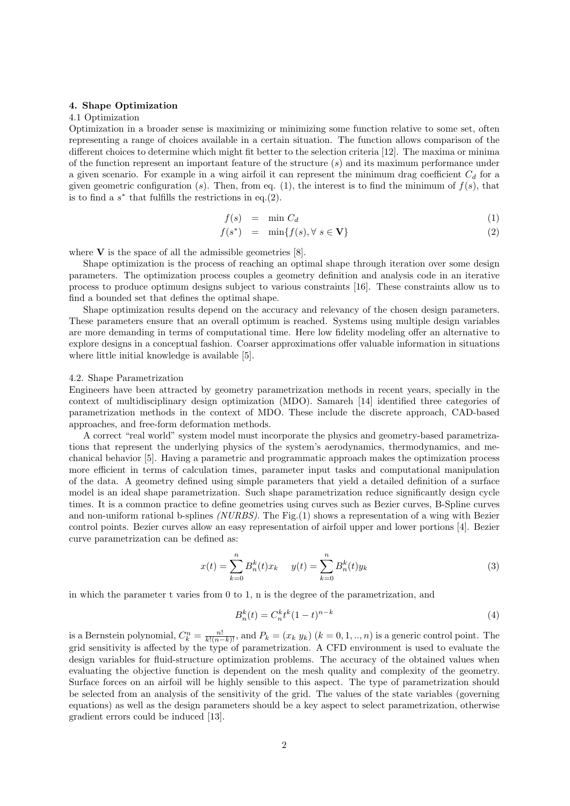#### 4. Shape Optimization

### 4.1 Optimization

Optimization in a broader sense is maximizing or minimizing some function relative to some set, often representing a range of choices available in a certain situation. The function allows comparison of the different choices to determine which might fit better to the selection criteria [12]. The maxima or minima of the function represent an important feature of the structure  $(s)$  and its maximum performance under a given scenario. For example in a wing airfoil it can represent the minimum drag coefficient  $C_d$  for a given geometric configuration (s). Then, from eq. (1), the interest is to find the minimum of  $f(s)$ , that is to find a  $s^*$  that fulfills the restrictions in eq.(2).

$$
f(s) = \min C_d \tag{1}
$$

$$
f(s^*) = \min\{f(s), \forall s \in \mathbf{V}\}\tag{2}
$$

where  $V$  is the space of all the admissible geometries [8].

Shape optimization is the process of reaching an optimal shape through iteration over some design parameters. The optimization process couples a geometry definition and analysis code in an iterative process to produce optimum designs subject to various constraints [16]. These constraints allow us to find a bounded set that defines the optimal shape.

Shape optimization results depend on the accuracy and relevancy of the chosen design parameters. These parameters ensure that an overall optimum is reached. Systems using multiple design variables are more demanding in terms of computational time. Here low fidelity modeling offer an alternative to explore designs in a conceptual fashion. Coarser approximations offer valuable information in situations where little initial knowledge is available [5].

#### 4.2. Shape Parametrization

Engineers have been attracted by geometry parametrization methods in recent years, specially in the context of multidisciplinary design optimization (MDO). Samareh [14] identified three categories of parametrization methods in the context of MDO. These include the discrete approach, CAD-based approaches, and free-form deformation methods.

A correct "real world" system model must incorporate the physics and geometry-based parametrizations that represent the underlying physics of the system's aerodynamics, thermodynamics, and mechanical behavior [5]. Having a parametric and programmatic approach makes the optimization process more efficient in terms of calculation times, parameter input tasks and computational manipulation of the data. A geometry defined using simple parameters that yield a detailed definition of a surface model is an ideal shape parametrization. Such shape parametrization reduce significantly design cycle times. It is a common practice to define geometries using curves such as Bezier curves, B-Spline curves and non-uniform rational b-splines *(NURBS)*. The Fig.  $(1)$  shows a representation of a wing with Bezier control points. Bezier curves allow an easy representation of airfoil upper and lower portions [4]. Bezier curve parametrization can be defined as:

$$
x(t) = \sum_{k=0}^{n} B_n^k(t)x_k \qquad y(t) = \sum_{k=0}^{n} B_n^k(t)y_k \tag{3}
$$

in which the parameter t varies from 0 to 1, n is the degree of the parametrization, and

$$
B_n^k(t) = C_n^k t^k (1 - t)^{n - k}
$$
\n(4)

is a Bernstein polynomial,  $C_k^n = \frac{n!}{k!(n-k)!}$ , and  $P_k = (x_k, y_k)$   $(k = 0, 1, ..., n)$  is a generic control point. The grid sensitivity is affected by the type of parametrization. A CFD environment is used to evaluate the design variables for fluid-structure optimization problems. The accuracy of the obtained values when evaluating the objective function is dependent on the mesh quality and complexity of the geometry. Surface forces on an airfoil will be highly sensible to this aspect. The type of parametrization should be selected from an analysis of the sensitivity of the grid. The values of the state variables (governing equations) as well as the design parameters should be a key aspect to select parametrization, otherwise gradient errors could be induced [13].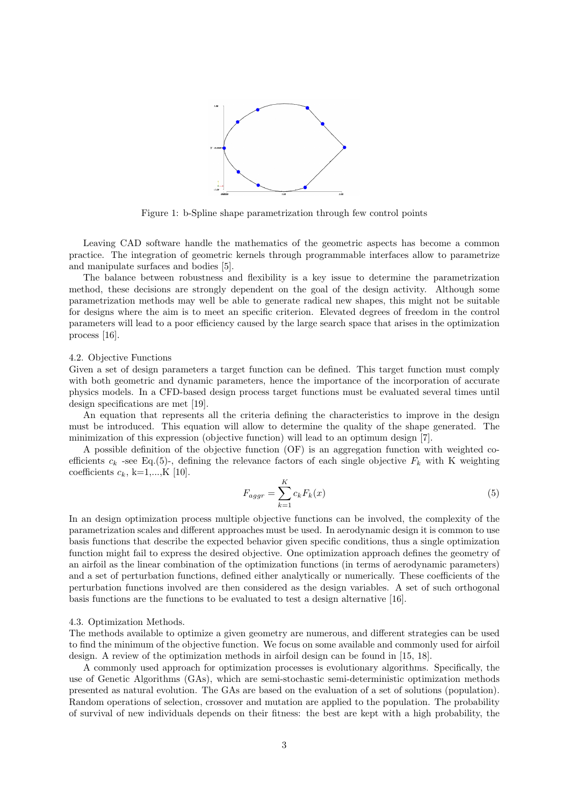

Figure 1: b-Spline shape parametrization through few control points

Leaving CAD software handle the mathematics of the geometric aspects has become a common practice. The integration of geometric kernels through programmable interfaces allow to parametrize and manipulate surfaces and bodies [5].

The balance between robustness and flexibility is a key issue to determine the parametrization method, these decisions are strongly dependent on the goal of the design activity. Although some parametrization methods may well be able to generate radical new shapes, this might not be suitable for designs where the aim is to meet an specific criterion. Elevated degrees of freedom in the control parameters will lead to a poor efficiency caused by the large search space that arises in the optimization process [16].

### 4.2. Objective Functions

Given a set of design parameters a target function can be defined. This target function must comply with both geometric and dynamic parameters, hence the importance of the incorporation of accurate physics models. In a CFD-based design process target functions must be evaluated several times until design specifications are met [19].

An equation that represents all the criteria defining the characteristics to improve in the design must be introduced. This equation will allow to determine the quality of the shape generated. The minimization of this expression (objective function) will lead to an optimum design [7].

A possible definition of the objective function (OF) is an aggregation function with weighted coefficients  $c_k$  -see Eq.(5)-, defining the relevance factors of each single objective  $F_k$  with K weighting coefficients  $c_k$ , k=1,...,K [10].

$$
F_{aggr} = \sum_{k=1}^{K} c_k F_k(x) \tag{5}
$$

In an design optimization process multiple objective functions can be involved, the complexity of the parametrization scales and different approaches must be used. In aerodynamic design it is common to use basis functions that describe the expected behavior given specific conditions, thus a single optimization function might fail to express the desired objective. One optimization approach defines the geometry of an airfoil as the linear combination of the optimization functions (in terms of aerodynamic parameters) and a set of perturbation functions, defined either analytically or numerically. These coefficients of the perturbation functions involved are then considered as the design variables. A set of such orthogonal basis functions are the functions to be evaluated to test a design alternative [16].

## 4.3. Optimization Methods.

The methods available to optimize a given geometry are numerous, and different strategies can be used to find the minimum of the objective function. We focus on some available and commonly used for airfoil design. A review of the optimization methods in airfoil design can be found in [15, 18].

A commonly used approach for optimization processes is evolutionary algorithms. Specifically, the use of Genetic Algorithms (GAs), which are semi-stochastic semi-deterministic optimization methods presented as natural evolution. The GAs are based on the evaluation of a set of solutions (population). Random operations of selection, crossover and mutation are applied to the population. The probability of survival of new individuals depends on their fitness: the best are kept with a high probability, the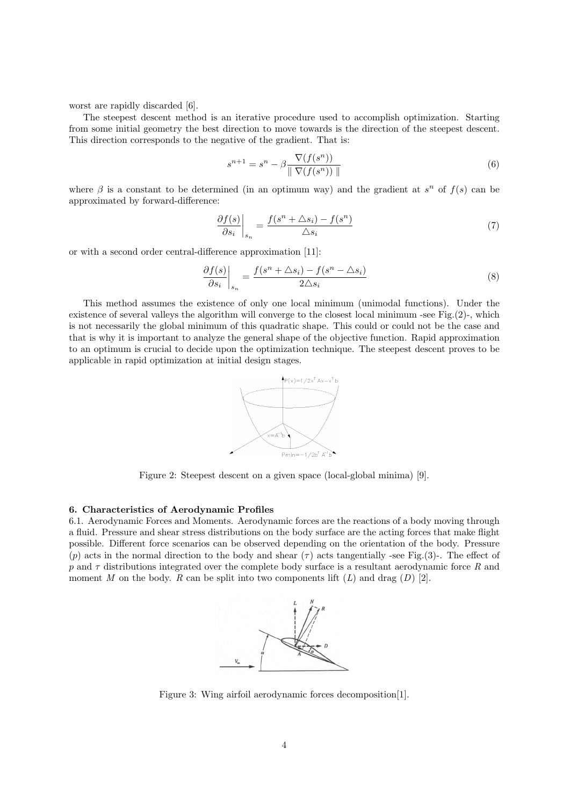worst are rapidly discarded [6].

The steepest descent method is an iterative procedure used to accomplish optimization. Starting from some initial geometry the best direction to move towards is the direction of the steepest descent. This direction corresponds to the negative of the gradient. That is:

$$
s^{n+1} = s^n - \beta \frac{\nabla(f(s^n))}{\|\nabla(f(s^n))\|}
$$
\n
$$
(6)
$$

where  $\beta$  is a constant to be determined (in an optimum way) and the gradient at  $s^n$  of  $f(s)$  can be approximated by forward-difference:

$$
\left. \frac{\partial f(s)}{\partial s_i} \right|_{s_n} = \frac{f(s^n + \Delta s_i) - f(s^n)}{\Delta s_i} \tag{7}
$$

or with a second order central-difference approximation [11]:

$$
\left. \frac{\partial f(s)}{\partial s_i} \right|_{s_n} = \frac{f(s^n + \Delta s_i) - f(s^n - \Delta s_i)}{2\Delta s_i} \tag{8}
$$

This method assumes the existence of only one local minimum (unimodal functions). Under the existence of several valleys the algorithm will converge to the closest local minimum -see Fig.(2)-, which is not necessarily the global minimum of this quadratic shape. This could or could not be the case and that is why it is important to analyze the general shape of the objective function. Rapid approximation to an optimum is crucial to decide upon the optimization technique. The steepest descent proves to be applicable in rapid optimization at initial design stages.



Figure 2: Steepest descent on a given space (local-global minima) [9].

### 6. Characteristics of Aerodynamic Profiles

6.1. Aerodynamic Forces and Moments. Aerodynamic forces are the reactions of a body moving through a fluid. Pressure and shear stress distributions on the body surface are the acting forces that make flight possible. Different force scenarios can be observed depending on the orientation of the body. Pressure (p) acts in the normal direction to the body and shear ( $\tau$ ) acts tangentially -see Fig.(3)-. The effect of p and  $\tau$  distributions integrated over the complete body surface is a resultant aerodynamic force R and moment  $M$  on the body.  $R$  can be split into two components lift  $(L)$  and drag  $(D)$  [2].



Figure 3: Wing airfoil aerodynamic forces decomposition[1].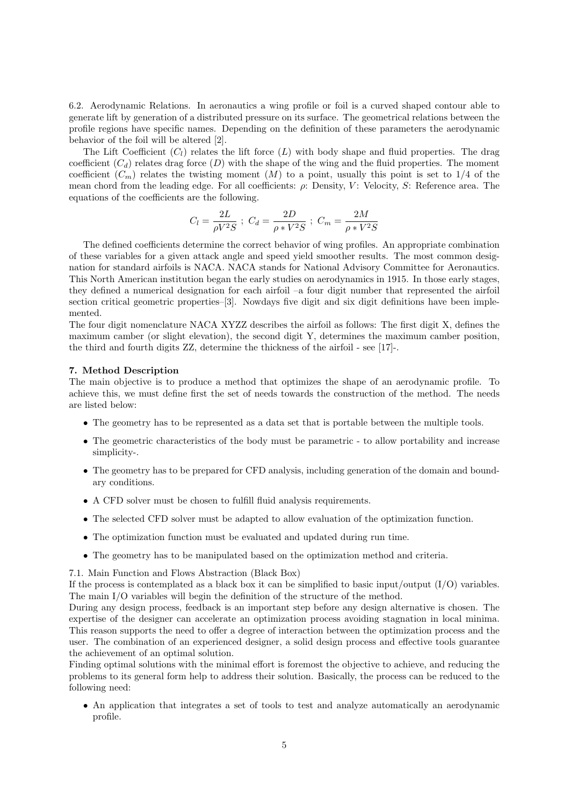6.2. Aerodynamic Relations. In aeronautics a wing profile or foil is a curved shaped contour able to generate lift by generation of a distributed pressure on its surface. The geometrical relations between the profile regions have specific names. Depending on the definition of these parameters the aerodynamic behavior of the foil will be altered [2].

The Lift Coefficient  $(C_l)$  relates the lift force  $(L)$  with body shape and fluid properties. The drag coefficient  $(C_d)$  relates drag force  $(D)$  with the shape of the wing and the fluid properties. The moment coefficient  $(C_m)$  relates the twisting moment  $(M)$  to a point, usually this point is set to 1/4 of the mean chord from the leading edge. For all coefficients:  $\rho$ : Density, V: Velocity, S: Reference area. The equations of the coefficients are the following.

$$
C_l = \frac{2L}{\rho V^2 S} \; ; \; C_d = \frac{2D}{\rho * V^2 S} \; ; \; C_m = \frac{2M}{\rho * V^2 S}
$$

The defined coefficients determine the correct behavior of wing profiles. An appropriate combination of these variables for a given attack angle and speed yield smoother results. The most common designation for standard airfoils is NACA. NACA stands for National Advisory Committee for Aeronautics. This North American institution began the early studies on aerodynamics in 1915. In those early stages, they defined a numerical designation for each airfoil –a four digit number that represented the airfoil section critical geometric properties–[3]. Nowdays five digit and six digit definitions have been implemented.

The four digit nomenclature NACA XYZZ describes the airfoil as follows: The first digit X, defines the maximum camber (or slight elevation), the second digit Y, determines the maximum camber position, the third and fourth digits ZZ, determine the thickness of the airfoil - see [17]-.

## 7. Method Description

The main objective is to produce a method that optimizes the shape of an aerodynamic profile. To achieve this, we must define first the set of needs towards the construction of the method. The needs are listed below:

- The geometry has to be represented as a data set that is portable between the multiple tools.
- The geometric characteristics of the body must be parametric to allow portability and increase simplicity-.
- The geometry has to be prepared for CFD analysis, including generation of the domain and boundary conditions.
- A CFD solver must be chosen to fulfill fluid analysis requirements.
- The selected CFD solver must be adapted to allow evaluation of the optimization function.
- The optimization function must be evaluated and updated during run time.
- The geometry has to be manipulated based on the optimization method and criteria.

7.1. Main Function and Flows Abstraction (Black Box)

If the process is contemplated as a black box it can be simplified to basic input/output  $(I/O)$  variables. The main I/O variables will begin the definition of the structure of the method.

During any design process, feedback is an important step before any design alternative is chosen. The expertise of the designer can accelerate an optimization process avoiding stagnation in local minima. This reason supports the need to offer a degree of interaction between the optimization process and the user. The combination of an experienced designer, a solid design process and effective tools guarantee the achievement of an optimal solution.

Finding optimal solutions with the minimal effort is foremost the objective to achieve, and reducing the problems to its general form help to address their solution. Basically, the process can be reduced to the following need:

• An application that integrates a set of tools to test and analyze automatically an aerodynamic profile.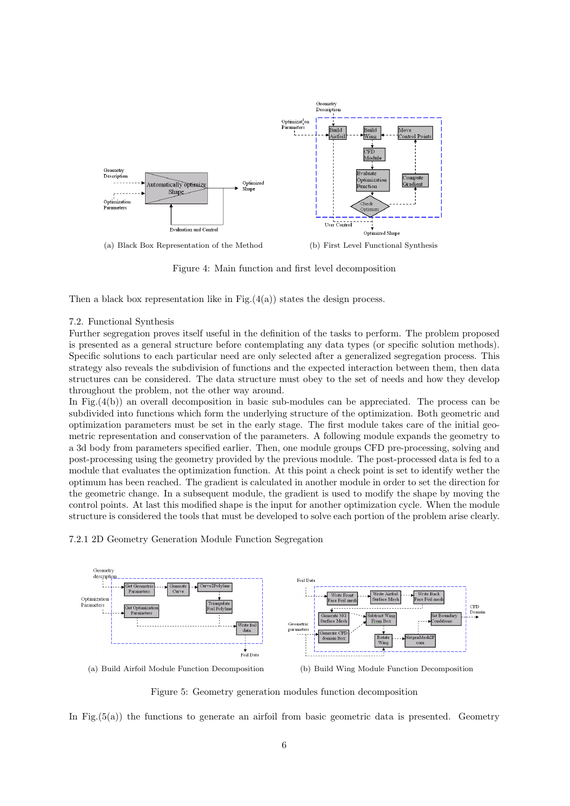

Figure 4: Main function and first level decomposition

Then a black box representation like in Fig. $(4(a))$  states the design process.

## 7.2. Functional Synthesis

Further segregation proves itself useful in the definition of the tasks to perform. The problem proposed is presented as a general structure before contemplating any data types (or specific solution methods). Specific solutions to each particular need are only selected after a generalized segregation process. This strategy also reveals the subdivision of functions and the expected interaction between them, then data structures can be considered. The data structure must obey to the set of needs and how they develop throughout the problem, not the other way around.

In Fig. $(4(b))$  an overall decomposition in basic sub-modules can be appreciated. The process can be subdivided into functions which form the underlying structure of the optimization. Both geometric and optimization parameters must be set in the early stage. The first module takes care of the initial geometric representation and conservation of the parameters. A following module expands the geometry to a 3d body from parameters specified earlier. Then, one module groups CFD pre-processing, solving and post-processing using the geometry provided by the previous module. The post-processed data is fed to a module that evaluates the optimization function. At this point a check point is set to identify wether the optimum has been reached. The gradient is calculated in another module in order to set the direction for the geometric change. In a subsequent module, the gradient is used to modify the shape by moving the control points. At last this modified shape is the input for another optimization cycle. When the module structure is considered the tools that must be developed to solve each portion of the problem arise clearly.





(a) Build Airfoil Module Function Decomposition (b) Build Wing Module Function Decomposition

Figure 5: Geometry generation modules function decomposition

In Fig. $(5(a))$  the functions to generate an airfoil from basic geometric data is presented. Geometry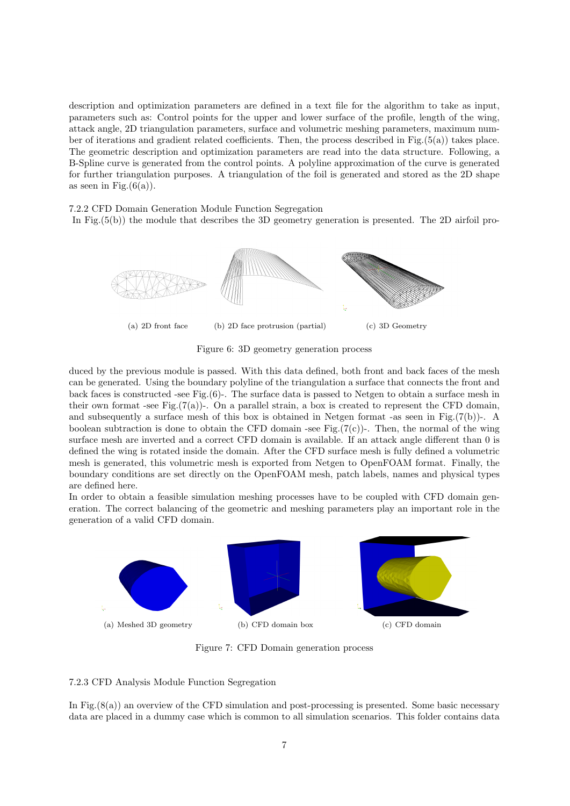description and optimization parameters are defined in a text file for the algorithm to take as input, parameters such as: Control points for the upper and lower surface of the profile, length of the wing, attack angle, 2D triangulation parameters, surface and volumetric meshing parameters, maximum number of iterations and gradient related coefficients. Then, the process described in Fig.(5(a)) takes place. The geometric description and optimization parameters are read into the data structure. Following, a B-Spline curve is generated from the control points. A polyline approximation of the curve is generated for further triangulation purposes. A triangulation of the foil is generated and stored as the 2D shape as seen in Fig. $(6(a))$ .

7.2.2 CFD Domain Generation Module Function Segregation

In Fig.(5(b)) the module that describes the 3D geometry generation is presented. The 2D airfoil pro-



Figure 6: 3D geometry generation process

duced by the previous module is passed. With this data defined, both front and back faces of the mesh can be generated. Using the boundary polyline of the triangulation a surface that connects the front and back faces is constructed -see Fig. $(6)$ -. The surface data is passed to Netgen to obtain a surface mesh in their own format -see Fig. $(7(a))$ -. On a parallel strain, a box is created to represent the CFD domain, and subsequently a surface mesh of this box is obtained in Netgen format -as seen in Fig. $(7(b))$ -. A boolean subtraction is done to obtain the CFD domain -see Fig. $(7(c))$ -. Then, the normal of the wing surface mesh are inverted and a correct CFD domain is available. If an attack angle different than 0 is defined the wing is rotated inside the domain. After the CFD surface mesh is fully defined a volumetric mesh is generated, this volumetric mesh is exported from Netgen to OpenFOAM format. Finally, the boundary conditions are set directly on the OpenFOAM mesh, patch labels, names and physical types are defined here.

In order to obtain a feasible simulation meshing processes have to be coupled with CFD domain generation. The correct balancing of the geometric and meshing parameters play an important role in the generation of a valid CFD domain.



Figure 7: CFD Domain generation process

# 7.2.3 CFD Analysis Module Function Segregation

In Fig.(8(a)) an overview of the CFD simulation and post-processing is presented. Some basic necessary data are placed in a dummy case which is common to all simulation scenarios. This folder contains data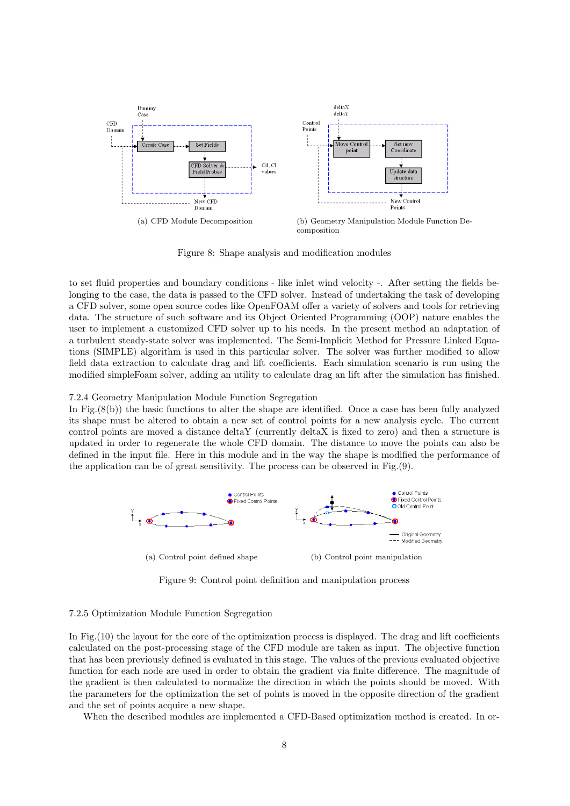

Figure 8: Shape analysis and modification modules

to set fluid properties and boundary conditions - like inlet wind velocity -. After setting the fields belonging to the case, the data is passed to the CFD solver. Instead of undertaking the task of developing a CFD solver, some open source codes like OpenFOAM offer a variety of solvers and tools for retrieving data. The structure of such software and its Object Oriented Programming (OOP) nature enables the user to implement a customized CFD solver up to his needs. In the present method an adaptation of a turbulent steady-state solver was implemented. The Semi-Implicit Method for Pressure Linked Equations (SIMPLE) algorithm is used in this particular solver. The solver was further modified to allow field data extraction to calculate drag and lift coefficients. Each simulation scenario is run using the modified simpleFoam solver, adding an utility to calculate drag an lift after the simulation has finished.

## 7.2.4 Geometry Manipulation Module Function Segregation

In Fig.(8(b)) the basic functions to alter the shape are identified. Once a case has been fully analyzed its shape must be altered to obtain a new set of control points for a new analysis cycle. The current control points are moved a distance deltaY (currently deltaX is fixed to zero) and then a structure is updated in order to regenerate the whole CFD domain. The distance to move the points can also be defined in the input file. Here in this module and in the way the shape is modified the performance of the application can be of great sensitivity. The process can be observed in Fig.(9).



Figure 9: Control point definition and manipulation process

## 7.2.5 Optimization Module Function Segregation

In Fig.(10) the layout for the core of the optimization process is displayed. The drag and lift coefficients calculated on the post-processing stage of the CFD module are taken as input. The objective function that has been previously defined is evaluated in this stage. The values of the previous evaluated objective function for each node are used in order to obtain the gradient via finite difference. The magnitude of the gradient is then calculated to normalize the direction in which the points should be moved. With the parameters for the optimization the set of points is moved in the opposite direction of the gradient and the set of points acquire a new shape.

When the described modules are implemented a CFD-Based optimization method is created. In or-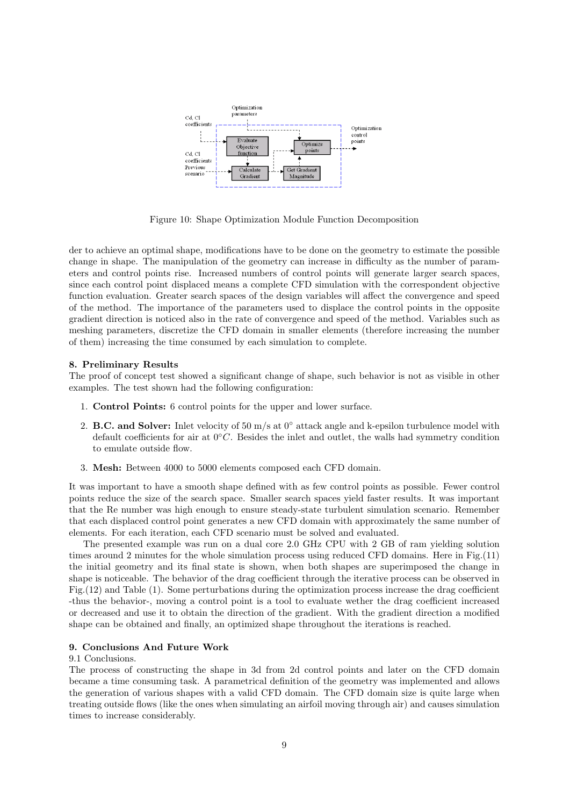

Figure 10: Shape Optimization Module Function Decomposition

der to achieve an optimal shape, modifications have to be done on the geometry to estimate the possible change in shape. The manipulation of the geometry can increase in difficulty as the number of parameters and control points rise. Increased numbers of control points will generate larger search spaces, since each control point displaced means a complete CFD simulation with the correspondent objective function evaluation. Greater search spaces of the design variables will affect the convergence and speed of the method. The importance of the parameters used to displace the control points in the opposite gradient direction is noticed also in the rate of convergence and speed of the method. Variables such as meshing parameters, discretize the CFD domain in smaller elements (therefore increasing the number of them) increasing the time consumed by each simulation to complete.

## 8. Preliminary Results

The proof of concept test showed a significant change of shape, such behavior is not as visible in other examples. The test shown had the following configuration:

- 1. Control Points: 6 control points for the upper and lower surface.
- 2. **B.C. and Solver:** Inlet velocity of 50 m/s at  $0°$  attack angle and k-epsilon turbulence model with default coefficients for air at  $0°C$ . Besides the inlet and outlet, the walls had symmetry condition to emulate outside flow.
- 3. Mesh: Between 4000 to 5000 elements composed each CFD domain.

It was important to have a smooth shape defined with as few control points as possible. Fewer control points reduce the size of the search space. Smaller search spaces yield faster results. It was important that the Re number was high enough to ensure steady-state turbulent simulation scenario. Remember that each displaced control point generates a new CFD domain with approximately the same number of elements. For each iteration, each CFD scenario must be solved and evaluated.

The presented example was run on a dual core 2.0 GHz CPU with 2 GB of ram yielding solution times around 2 minutes for the whole simulation process using reduced CFD domains. Here in Fig.(11) the initial geometry and its final state is shown, when both shapes are superimposed the change in shape is noticeable. The behavior of the drag coefficient through the iterative process can be observed in Fig.(12) and Table (1). Some perturbations during the optimization process increase the drag coefficient -thus the behavior-, moving a control point is a tool to evaluate wether the drag coefficient increased or decreased and use it to obtain the direction of the gradient. With the gradient direction a modified shape can be obtained and finally, an optimized shape throughout the iterations is reached.

## 9. Conclusions And Future Work

# 9.1 Conclusions.

The process of constructing the shape in 3d from 2d control points and later on the CFD domain became a time consuming task. A parametrical definition of the geometry was implemented and allows the generation of various shapes with a valid CFD domain. The CFD domain size is quite large when treating outside flows (like the ones when simulating an airfoil moving through air) and causes simulation times to increase considerably.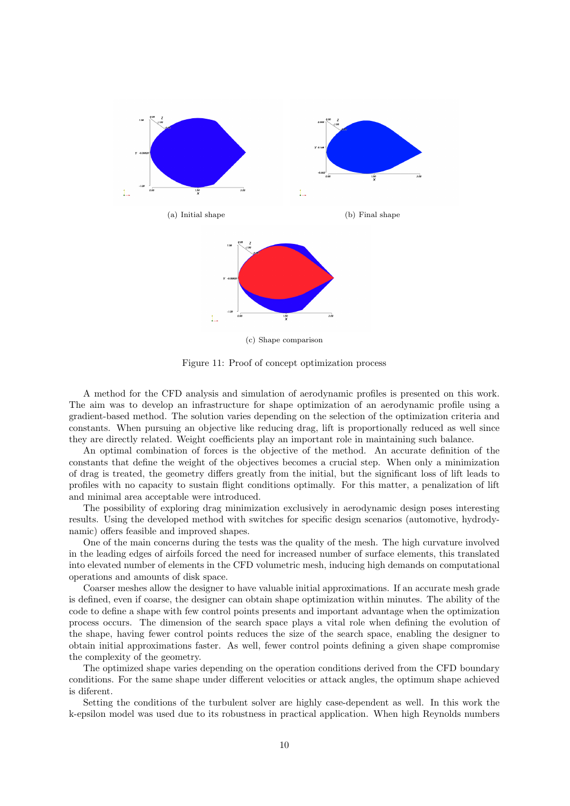

(c) Shape comparison

Figure 11: Proof of concept optimization process

A method for the CFD analysis and simulation of aerodynamic profiles is presented on this work. The aim was to develop an infrastructure for shape optimization of an aerodynamic profile using a gradient-based method. The solution varies depending on the selection of the optimization criteria and constants. When pursuing an objective like reducing drag, lift is proportionally reduced as well since they are directly related. Weight coefficients play an important role in maintaining such balance.

An optimal combination of forces is the objective of the method. An accurate definition of the constants that define the weight of the objectives becomes a crucial step. When only a minimization of drag is treated, the geometry differs greatly from the initial, but the significant loss of lift leads to profiles with no capacity to sustain flight conditions optimally. For this matter, a penalization of lift and minimal area acceptable were introduced.

The possibility of exploring drag minimization exclusively in aerodynamic design poses interesting results. Using the developed method with switches for specific design scenarios (automotive, hydrodynamic) offers feasible and improved shapes.

One of the main concerns during the tests was the quality of the mesh. The high curvature involved in the leading edges of airfoils forced the need for increased number of surface elements, this translated into elevated number of elements in the CFD volumetric mesh, inducing high demands on computational operations and amounts of disk space.

Coarser meshes allow the designer to have valuable initial approximations. If an accurate mesh grade is defined, even if coarse, the designer can obtain shape optimization within minutes. The ability of the code to define a shape with few control points presents and important advantage when the optimization process occurs. The dimension of the search space plays a vital role when defining the evolution of the shape, having fewer control points reduces the size of the search space, enabling the designer to obtain initial approximations faster. As well, fewer control points defining a given shape compromise the complexity of the geometry.

The optimized shape varies depending on the operation conditions derived from the CFD boundary conditions. For the same shape under different velocities or attack angles, the optimum shape achieved is diferent.

Setting the conditions of the turbulent solver are highly case-dependent as well. In this work the k-epsilon model was used due to its robustness in practical application. When high Reynolds numbers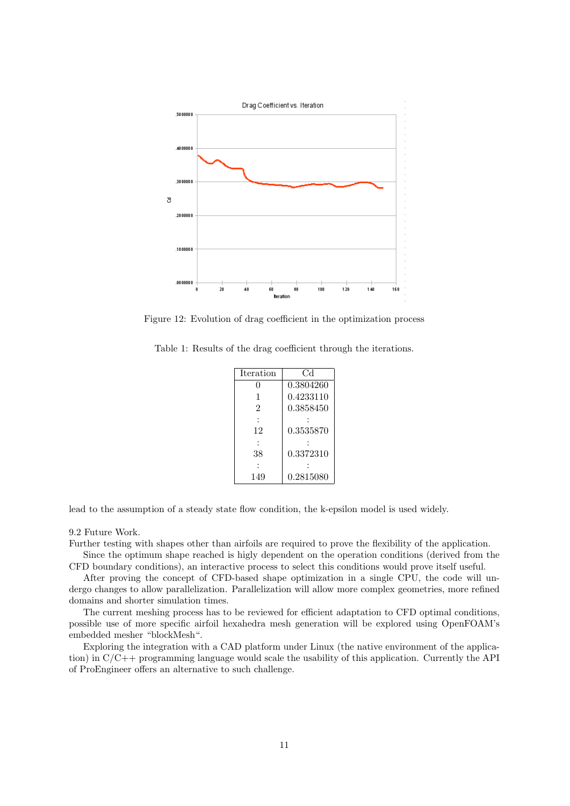

Figure 12: Evolution of drag coefficient in the optimization process

Table 1: Results of the drag coefficient through the iterations.

| <b>Iteration</b> | Сd        |
|------------------|-----------|
|                  | 0.3804260 |
| 1                | 0.4233110 |
| 2                | 0.3858450 |
|                  |           |
| 12               | 0.3535870 |
|                  |           |
| 38               | 0.3372310 |
|                  |           |
| 149              | 0.2815080 |

lead to the assumption of a steady state flow condition, the k-epsilon model is used widely.

### 9.2 Future Work.

Further testing with shapes other than airfoils are required to prove the flexibility of the application.

Since the optimum shape reached is higly dependent on the operation conditions (derived from the CFD boundary conditions), an interactive process to select this conditions would prove itself useful.

After proving the concept of CFD-based shape optimization in a single CPU, the code will undergo changes to allow parallelization. Parallelization will allow more complex geometries, more refined domains and shorter simulation times.

The current meshing process has to be reviewed for efficient adaptation to CFD optimal conditions, possible use of more specific airfoil hexahedra mesh generation will be explored using OpenFOAM's embedded mesher "blockMesh".

Exploring the integration with a CAD platform under Linux (the native environment of the application) in C/C++ programming language would scale the usability of this application. Currently the API of ProEngineer offers an alternative to such challenge.